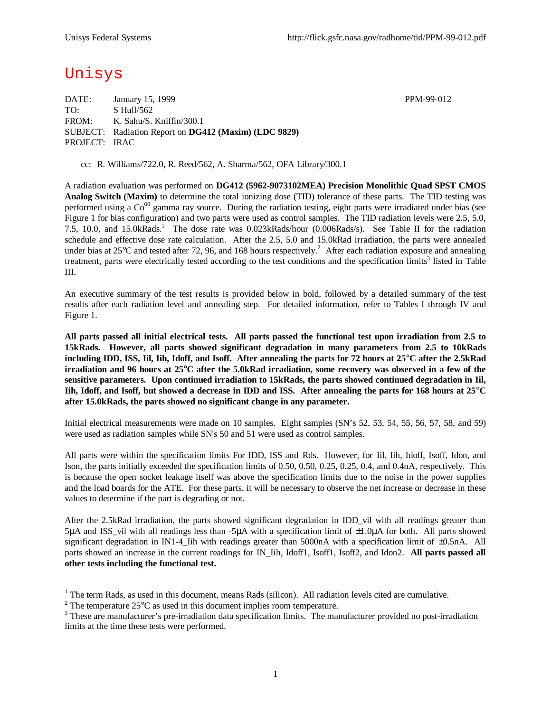## Unisys

DATE: January 15, 1999 **PPM-99-012** TO: S Hull/562 FROM: K. Sahu/S. Kniffin/300.1 SUBJECT: Radiation Report on **DG412 (Maxim) (LDC 9829)** PROJECT: IRAC

cc: R. Williams/722.0, R. Reed/562, A. Sharma/562, OFA Library/300.1

A radiation evaluation was performed on **DG412 (5962-9073102MEA) Precision Monolithic Quad SPST CMOS Analog Switch (Maxim)** to determine the total ionizing dose (TID) tolerance of these parts. The TID testing was performed using a  $Co^{60}$  gamma ray source. During the radiation testing, eight parts were irradiated under bias (see Figure 1 for bias configuration) and two parts were used as control samples. The TID radiation levels were 2.5, 5.0, 7.5, 10.0, and 15.0kRads.<sup>1</sup> The dose rate was 0.023kRads/hour (0.006Rads/s). See Table II for the radiation schedule and effective dose rate calculation. After the 2.5, 5.0 and 15.0kRad irradiation, the parts were annealed under bias at 25 $^{\circ}$ C and tested after 72, 96, and 168 hours respectively.<sup>2</sup> After each radiation exposure and annealing treatment, parts were electrically tested according to the test conditions and the specification limits<sup>3</sup> listed in Table III.

An executive summary of the test results is provided below in bold, followed by a detailed summary of the test results after each radiation level and annealing step. For detailed information, refer to Tables I through IV and Figure 1.

**All parts passed all initial electrical tests. All parts passed the functional test upon irradiation from 2.5 to 15kRads. However, all parts showed significant degradation in many parameters from 2.5 to 10kRads including IDD, ISS, Iil, Iih, Idoff, and Isoff. After annealing the parts for 72 hours at 25°C after the 2.5kRad irradiation and 96 hours at 25°C after the 5.0kRad irradiation, some recovery was observed in a few of the sensitive parameters. Upon continued irradiation to 15kRads, the parts showed continued degradation in Iil, Iih, Idoff, and Isoff, but showed a decrease in IDD and ISS. After annealing the parts for 168 hours at 25°C after 15.0kRads, the parts showed no significant change in any parameter.**

Initial electrical measurements were made on 10 samples. Eight samples (SN's 52, 53, 54, 55, 56, 57, 58, and 59) were used as radiation samples while SN's 50 and 51 were used as control samples.

All parts were within the specification limits For IDD, ISS and Rds. However, for Iil, Iih, Idoff, Isoff, Idon, and Ison, the parts initially exceeded the specification limits of 0.50, 0.50, 0.25, 0.25, 0.4, and 0.4nA, respectively. This is because the open socket leakage itself was above the specification limits due to the noise in the power supplies and the load boards for the ATE. For these parts, it will be necessary to observe the net increase or decrease in these values to determine if the part is degrading or not.

After the 2.5kRad irradiation, the parts showed significant degradation in IDD vil with all readings greater than  $5\mu$ A and ISS vil with all readings less than -5 $\mu$ A with a specification limit of  $\pm 1.0\mu$ A for both. All parts showed significant degradation in IN1-4\_Iih with readings greater than 5000nA with a specification limit of ±0.5nA. All parts showed an increase in the current readings for IN Iih, Idoff1, Isoff1, Isoff2, and Idon2. **All parts passed all other tests including the functional test.**

<sup>&</sup>lt;sup>1</sup> The term Rads, as used in this document, means Rads (silicon). All radiation levels cited are cumulative.

<sup>&</sup>lt;sup>2</sup> The temperature  $25^{\circ}$ C as used in this document implies room temperature.

 $3$  These are manufacturer's pre-irradiation data specification limits. The manufacturer provided no post-irradiation limits at the time these tests were performed.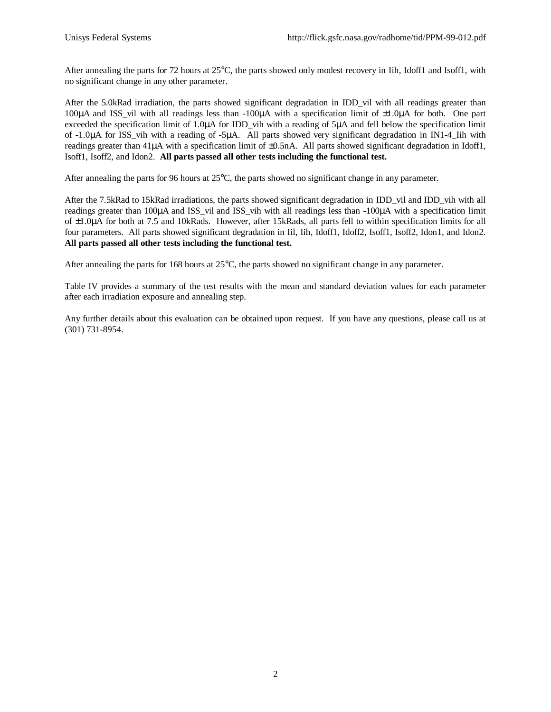After annealing the parts for 72 hours at 25°C, the parts showed only modest recovery in Iih, Idoff1 and Isoff1, with no significant change in any other parameter.

After the 5.0kRad irradiation, the parts showed significant degradation in IDD\_vil with all readings greater than 100μA and ISS\_vil with all readings less than -100μA with a specification limit of ±1.0μA for both. One part exceeded the specification limit of 1.0μA for IDD vih with a reading of 5μA and fell below the specification limit of -1.0μA for ISS\_vih with a reading of -5μA. All parts showed very significant degradation in IN1-4\_Iih with readings greater than 41μA with a specification limit of ±0.5nA. All parts showed significant degradation in Idoff1, Isoff1, Isoff2, and Idon2. **All parts passed all other tests including the functional test.**

After annealing the parts for 96 hours at 25°C, the parts showed no significant change in any parameter.

After the 7.5kRad to 15kRad irradiations, the parts showed significant degradation in IDD\_vil and IDD\_vih with all readings greater than 100μA and ISS\_vil and ISS\_vih with all readings less than -100μA with a specification limit of ±1.0μA for both at 7.5 and 10kRads. However, after 15kRads, all parts fell to within specification limits for all four parameters. All parts showed significant degradation in Iil, Iih, Idoff1, Idoff2, Isoff1, Isoff2, Idon1, and Idon2. **All parts passed all other tests including the functional test.**

After annealing the parts for 168 hours at 25°C, the parts showed no significant change in any parameter.

Table IV provides a summary of the test results with the mean and standard deviation values for each parameter after each irradiation exposure and annealing step.

Any further details about this evaluation can be obtained upon request. If you have any questions, please call us at (301) 731-8954.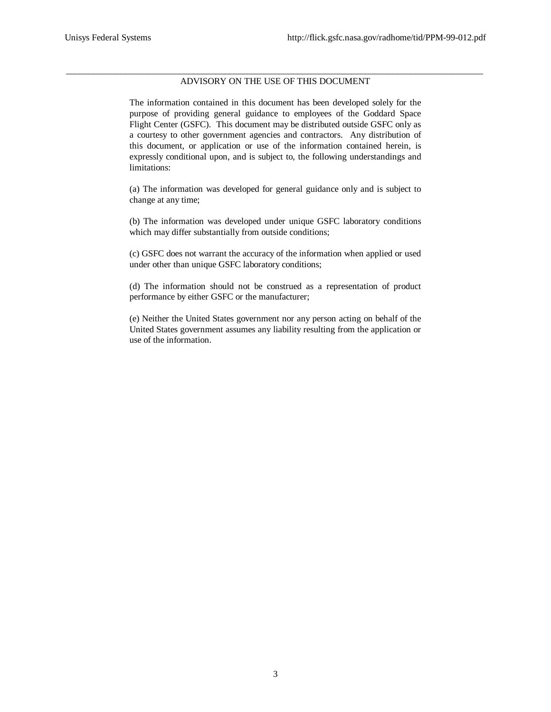## \_\_\_\_\_\_\_\_\_\_\_\_\_\_\_\_\_\_\_\_\_\_\_\_\_\_\_\_\_\_\_\_\_\_\_\_\_\_\_\_\_\_\_\_\_\_\_\_\_\_\_\_\_\_\_\_\_\_\_\_\_\_\_\_\_\_\_\_\_\_\_\_\_\_\_\_\_\_\_\_\_\_\_\_\_\_\_\_\_\_\_\_ ADVISORY ON THE USE OF THIS DOCUMENT

The information contained in this document has been developed solely for the purpose of providing general guidance to employees of the Goddard Space Flight Center (GSFC). This document may be distributed outside GSFC only as a courtesy to other government agencies and contractors. Any distribution of this document, or application or use of the information contained herein, is expressly conditional upon, and is subject to, the following understandings and limitations:

(a) The information was developed for general guidance only and is subject to change at any time;

(b) The information was developed under unique GSFC laboratory conditions which may differ substantially from outside conditions;

(c) GSFC does not warrant the accuracy of the information when applied or used under other than unique GSFC laboratory conditions;

(d) The information should not be construed as a representation of product performance by either GSFC or the manufacturer;

(e) Neither the United States government nor any person acting on behalf of the United States government assumes any liability resulting from the application or use of the information.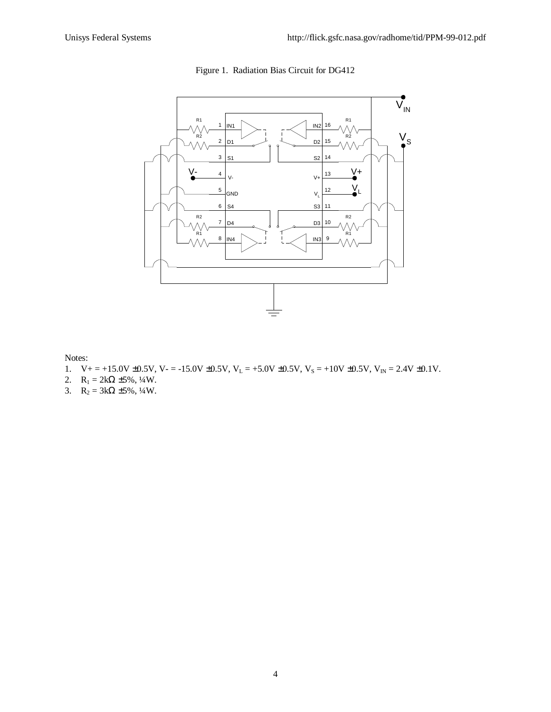

Figure 1. Radiation Bias Circuit for DG412

Notes:

- 1.  $V_+ = +15.0V \pm 0.5V$ ,  $V_- = -15.0V \pm 0.5V$ ,  $V_L = +5.0V \pm 0.5V$ ,  $V_S = +10V \pm 0.5V$ ,  $V_{IN} = 2.4V \pm 0.1V$ .
- 2.  $R_1 = 2k\Omega \pm 5\%, \frac{1}{4}W$ .
- 3.  $R_2 = 3k\Omega \pm 5\%, \frac{1}{4}W$ .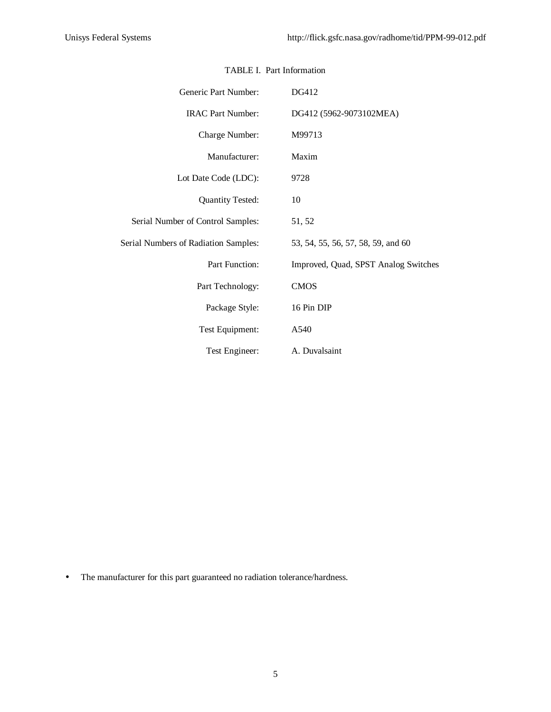| Generic Part Number:                 | DG412                                |
|--------------------------------------|--------------------------------------|
| <b>IRAC Part Number:</b>             | DG412 (5962-9073102MEA)              |
| Charge Number:                       | M99713                               |
| Manufacturer:                        | Maxim                                |
| Lot Date Code (LDC):                 | 9728                                 |
| <b>Quantity Tested:</b>              | 10                                   |
| Serial Number of Control Samples:    | 51, 52                               |
| Serial Numbers of Radiation Samples: | 53, 54, 55, 56, 57, 58, 59, and 60   |
| Part Function:                       | Improved, Quad, SPST Analog Switches |
| Part Technology:                     | <b>CMOS</b>                          |
| Package Style:                       | 16 Pin DIP                           |
| Test Equipment:                      | A540                                 |
| Test Engineer:                       | A. Duvalsaint                        |

## TABLE I. Part Information

• The manufacturer for this part guaranteed no radiation tolerance/hardness.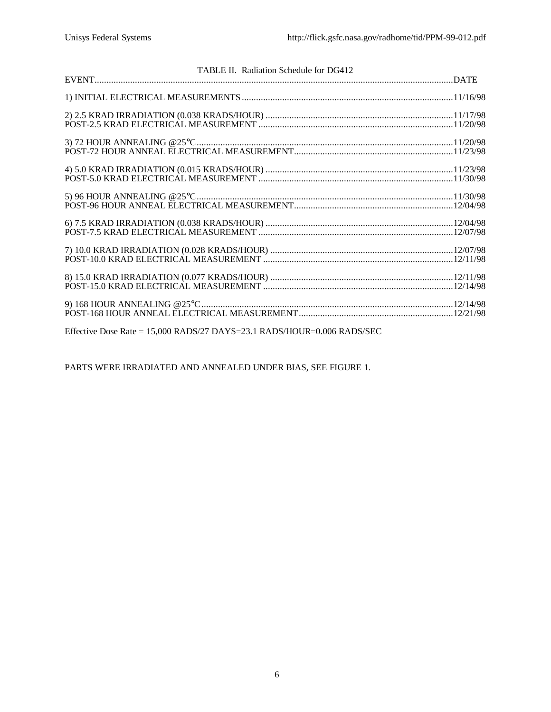| TABLE II. Radiation Schedule for DG412 |  |
|----------------------------------------|--|
|                                        |  |
|                                        |  |
|                                        |  |
|                                        |  |
|                                        |  |
|                                        |  |
|                                        |  |
|                                        |  |
|                                        |  |
|                                        |  |
|                                        |  |
|                                        |  |
|                                        |  |
|                                        |  |
|                                        |  |
|                                        |  |
|                                        |  |
|                                        |  |

Effective Dose Rate = 15,000 RADS/27 DAYS=23.1 RADS/HOUR=0.006 RADS/SEC

PARTS WERE IRRADIATED AND ANNEALED UNDER BIAS, SEE FIGURE 1.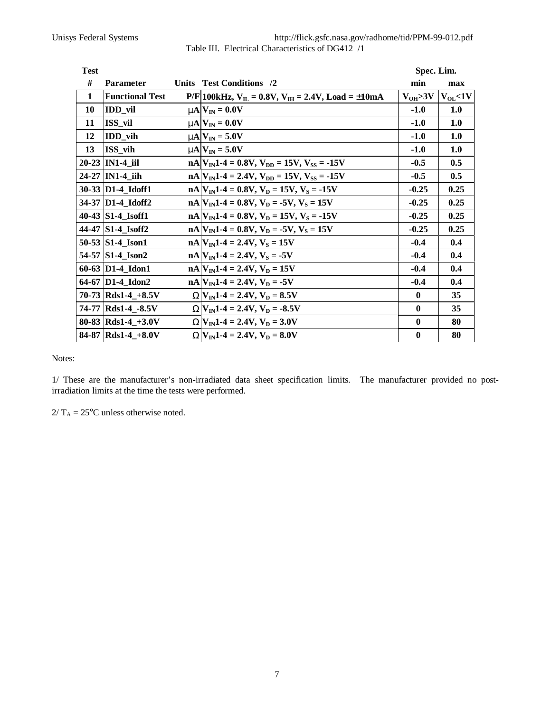| http://flick.gsfc.nasa.gov/radhome/tid/PPM-99-012.pdf |
|-------------------------------------------------------|
| Table III. Electrical Characteristics of DG412 /1     |

| <b>Test</b>  |                        |              |                                                                 | Spec. Lim.    |               |  |  |
|--------------|------------------------|--------------|-----------------------------------------------------------------|---------------|---------------|--|--|
| #            | <b>Parameter</b>       | <b>Units</b> | <b>Test Conditions</b> /2                                       | min           | max           |  |  |
| $\mathbf{1}$ | <b>Functional Test</b> |              | $P/F 100kHz$ , $V_{IL} = 0.8V$ , $V_{IH} = 2.4V$ , Load = ±10mA | $V_{OH} > 3V$ | $V_{OL}$ < 1V |  |  |
| 10           | IDD_vil                |              | $mN_{\text{IN}} = 0.0V$                                         | $-1.0$        | 1.0           |  |  |
| 11           | ISS_vil                |              | $mN$ $V_{IN} = 0.0V$                                            | $-1.0$        | 1.0           |  |  |
| 12           | <b>IDD</b> vih         |              | $mN$ $V_{IN} = 5.0V$                                            | $-1.0$        | 1.0           |  |  |
| 13           | ISS vih                |              | $mN$ $V_{IN} = 5.0V$                                            | $-1.0$        | 1.0           |  |  |
|              | 20-23 IN1-4 iil        |              | $nA V_{IN}1-4=0.8V, V_{DD}=15V, V_{SS}=15V$                     | $-0.5$        | 0.5           |  |  |
|              | 24-27   IN1-4 iih      |              | $nA V_{IN}1-4 = 2.4V, V_{DD} = 15V, V_{SS} = -15V$              | $-0.5$        | 0.5           |  |  |
|              | 30-33 D1-4 Idoff1      |              | $nA V_{IN}1-4=0.8V, V_D=15V, V_S=.15V$                          | $-0.25$       | 0.25          |  |  |
|              | 34-37 D1-4 Idoff2      |              | $nA V_{IN}1-4=0.8V, V_D = -5V, V_S = 15V$                       | $-0.25$       | 0.25          |  |  |
|              | 40-43 S1-4 Isoff1      |              | $nA V_{IN}1-4=0.8V, V_D=15V, V_S=.15V$                          | $-0.25$       | 0.25          |  |  |
|              | 44-47 S1-4_Isoff2      |              | $nA V_{IN}1-4=0.8V, V_D = -5V, V_S = 15V$                       | $-0.25$       | 0.25          |  |  |
|              | 50-53 S1-4 Ison1       |              | $nA V_{IN}1-4 = 2.4V, V_S = 15V$                                | $-0.4$        | 0.4           |  |  |
|              | 54-57 S1-4 Ison2       |              | $nA$ V <sub>IN</sub> 1-4 = 2.4V, V <sub>S</sub> = -5V           | $-0.4$        | 0.4           |  |  |
|              | 60-63 D1-4_Idon1       |              | $nA V_{IN}1-4 = 2.4V, V_D = 15V$                                | $-0.4$        | 0.4           |  |  |
|              | 64-67 D1-4 Idon2       |              | $nA V_{IN}1-4 = 2.4V, V_D = -5V$                                | $-0.4$        | 0.4           |  |  |
|              | 70-73 $Rds1-4 + 8.5V$  |              | $WV_{IN}1-4 = 2.4V, V_D = 8.5V$                                 | $\bf{0}$      | 35            |  |  |
|              | 74-77 Rds1-4 -8.5V     |              | $WV_{IN}1-4 = 2.4V, V_D = -8.5V$                                | $\mathbf{0}$  | 35            |  |  |
|              | 80-83 Rds1-4_+3.0V     |              | $WV_{IN}1-4 = 2.4V, V_D = 3.0V$                                 | $\mathbf{0}$  | 80            |  |  |
|              | 84-87 Rds1-4_+8.0V     |              | $WV_{IN}1-4 = 2.4V, V_D = 8.0V$                                 | $\bf{0}$      | 80            |  |  |

Notes:

1/ These are the manufacturer's non-irradiated data sheet specification limits. The manufacturer provided no postirradiation limits at the time the tests were performed.

 $2/T_A = 25$ °C unless otherwise noted.